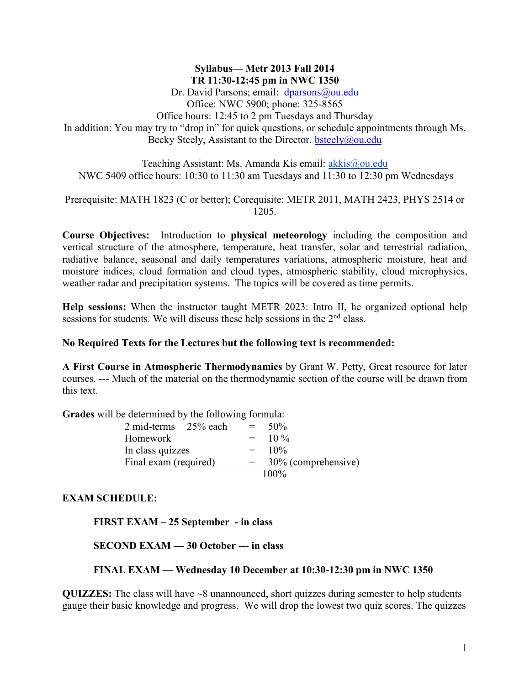### **Syllabus— Metr 2013 Fall 2014 TR 11:30-12:45 pm in NWC 1350**

Dr. David Parsons; email: [dparsons@ou.edu](mailto:dparsons@ou.edu) Office: NWC 5900; phone: 325-8565 Office hours: 12:45 to 2 pm Tuesdays and Thursday In addition: You may try to "drop in" for quick questions, or schedule appointments through Ms. Becky Steely, Assistant to the Director, [bsteely@ou.edu](mailto:bsteely@ou.edu)

Teaching Assistant: Ms. Amanda Kis email:  $alkis@ou.edu$ NWC 5409 office hours: 10:30 to 11:30 am Tuesdays and 11:30 to 12:30 pm Wednesdays

Prerequisite: MATH 1823 (C or better); Corequisite: METR 2011, MATH 2423, PHYS 2514 or 1205.

**Course Objectives:** Introduction to **physical meteorology** including the composition and vertical structure of the atmosphere, temperature, heat transfer, solar and terrestrial radiation, radiative balance, seasonal and daily temperatures variations, atmospheric moisture, heat and moisture indices, cloud formation and cloud types, atmospheric stability, cloud microphysics, weather radar and precipitation systems. The topics will be covered as time permits.

**Help sessions:** When the instructor taught METR 2023: Intro II, he organized optional help sessions for students. We will discuss these help sessions in the 2<sup>nd</sup> class.

#### **No Required Texts for the Lectures but the following text is recommended:**

**A First Course in Atmospheric Thermodynamics** by Grant W. Petty, Great resource for later courses. --- Much of the material on the thermodynamic section of the course will be drawn from this text.

**Grades** will be determined by the following formula:

| 2 mid-terms 25% each  | $\equiv$ | 50%                 |
|-----------------------|----------|---------------------|
| Homework              | $=$      | $10\%$              |
| In class quizzes      | $=$      | $10\%$              |
| Final exam (required) | $=$      | 30% (comprehensive) |
|                       |          | $100\%$             |

#### **EXAM SCHEDULE:**

**FIRST EXAM – 25 September - in class**

**SECOND EXAM — 30 October --- in class**

#### **FINAL EXAM — Wednesday 10 December at 10:30-12:30 pm in NWC 1350**

**QUIZZES:** The class will have ~8 unannounced, short quizzes during semester to help students gauge their basic knowledge and progress. We will drop the lowest two quiz scores. The quizzes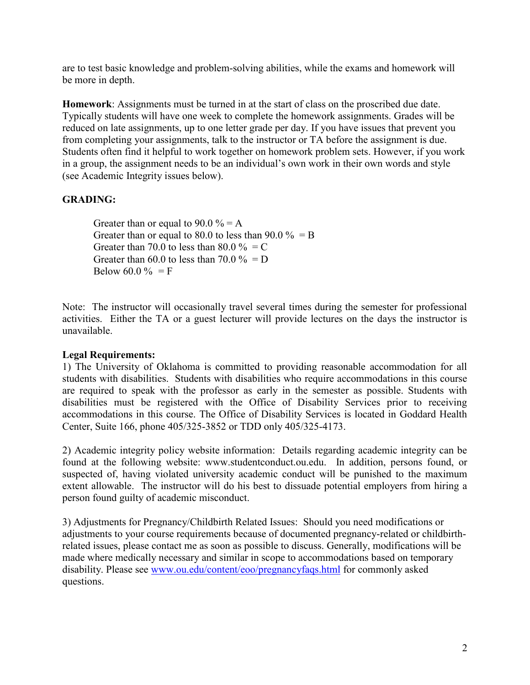are to test basic knowledge and problem-solving abilities, while the exams and homework will be more in depth.

**Homework**: Assignments must be turned in at the start of class on the proscribed due date. Typically students will have one week to complete the homework assignments. Grades will be reduced on late assignments, up to one letter grade per day. If you have issues that prevent you from completing your assignments, talk to the instructor or TA before the assignment is due. Students often find it helpful to work together on homework problem sets. However, if you work in a group, the assignment needs to be an individual's own work in their own words and style (see Academic Integrity issues below).

# **GRADING:**

Greater than or equal to  $90.0 \% = A$ Greater than or equal to 80.0 to less than 90.0  $\% = B$ Greater than 70.0 to less than 80.0  $\% = C$ Greater than 60.0 to less than 70.0  $\% = D$ Below 60.0 % = F

Note: The instructor will occasionally travel several times during the semester for professional activities. Either the TA or a guest lecturer will provide lectures on the days the instructor is unavailable.

## **Legal Requirements:**

1) The University of Oklahoma is committed to providing reasonable accommodation for all students with disabilities. Students with disabilities who require accommodations in this course are required to speak with the professor as early in the semester as possible. Students with disabilities must be registered with the Office of Disability Services prior to receiving accommodations in this course. The Office of Disability Services is located in Goddard Health Center, Suite 166, phone 405/325-3852 or TDD only 405/325-4173.

2) Academic integrity policy website information: Details regarding academic integrity can be found at the following website: www.studentconduct.ou.edu. In addition, persons found, or suspected of, having violated university academic conduct will be punished to the maximum extent allowable. The instructor will do his best to dissuade potential employers from hiring a person found guilty of academic misconduct.

3) Adjustments for Pregnancy/Childbirth Related Issues:Should you need modifications or adjustments to your course requirements because of documented pregnancy-related or childbirthrelated issues, please contact me as soon as possible to discuss. Generally, modifications will be made where medically necessary and similar in scope to accommodations based on temporary disability. Please see [www.ou.edu/content/eoo/pregnancyfaqs.html](https://exchange.ou.edu/owa/redir.aspx?C=QFIEhaH1LkupaMF_pBAlyBvAGFG9kdEIVcRic5wSFrhPBaRiFHyx1K_BYw2_0eN7H8KmjT4sr2A.&URL=http%3a%2f%2fwww.ou.edu%2fcontent%2feoo%2fpregnancyfaqs.html) for commonly asked questions.